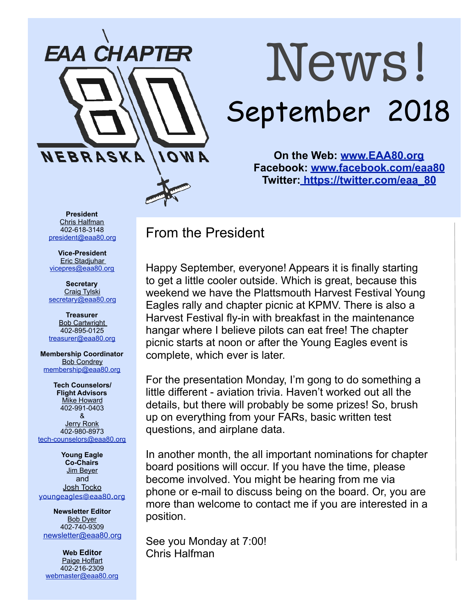

# News! September 2018

**On the Web: [www.EAA80.org](http://www.EAA80.org) Facebook: [www.facebook.com/eaa80](http://www.facebook.com/eaa80) Twitter[: https://twitter.com/eaa\\_80](https://twitter.com/eaa_80)**

**President**  Chris Halfman 402-618-3148 [president@eaa80.org](mailto:president@eaa80.org)

**Vice-President**  Eric Stadjuhar [vicepres@eaa80.org](mailto:vicepres@eaa80.org) 

**Secretary**  Craig Tylski [secretary@eaa80.org](mailto:secretary@eaa80.org)

**Treasurer**  Bob Cartwright 402-895-0125 [treasurer@eaa80.org](mailto:treasurer@eaa80.org)

**Membership Coordinator**  Bob Condrey [membership@eaa80.org](mailto:membership@eaa80.org) 

**Tech Counselors/ Flight Advisors**  Mike Howard 402-991-0403 & Jerry Ronk 402-980-8973 [tech-counselors@eaa80.org](mailto:tech-counselors@eaa80.org) 

**Young Eagle Co-Chairs**  Jim Beyer and Josh Tocko [youngeagles@eaa80.org](mailto:youngeagles@eaa80.org)

**Newsletter Editor**  Bob Dyer 402-740-9309 [newsletter@eaa80.org](mailto:newsletter@eaa80.org)

**Web Editor**  Paige Hoffart 402-216-2309 [webmaster@eaa80.org](mailto:webmaster@eaa80.org) From the President

Happy September, everyone! Appears it is finally starting to get a little cooler outside. Which is great, because this weekend we have the Plattsmouth Harvest Festival Young Eagles rally and chapter picnic at KPMV. There is also a Harvest Festival fly-in with breakfast in the maintenance hangar where I believe pilots can eat free! The chapter picnic starts at noon or after the Young Eagles event is complete, which ever is later.

For the presentation Monday, I'm gong to do something a little different - aviation trivia. Haven't worked out all the details, but there will probably be some prizes! So, brush up on everything from your FARs, basic written test questions, and airplane data.

In another month, the all important nominations for chapter board positions will occur. If you have the time, please become involved. You might be hearing from me via phone or e-mail to discuss being on the board. Or, you are more than welcome to contact me if you are interested in a position.

See you Monday at 7:00! Chris Halfman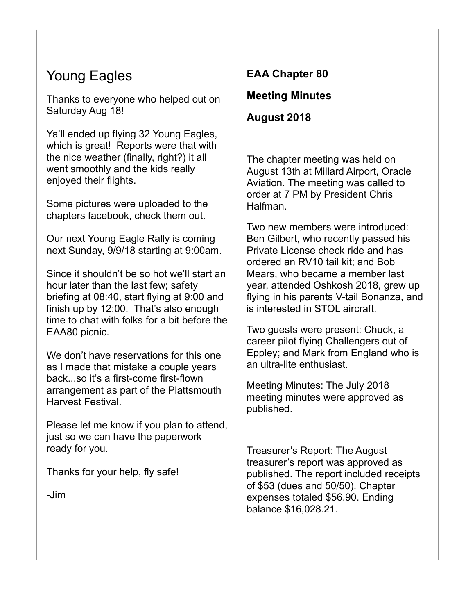### Young Eagles

Thanks to everyone who helped out on Saturday Aug 18!

Ya'll ended up flying 32 Young Eagles, which is great! Reports were that with the nice weather (finally, right?) it all went smoothly and the kids really enjoyed their flights.

Some pictures were uploaded to the chapters facebook, check them out.

Our next Young Eagle Rally is coming next Sunday, 9/9/18 starting at 9:00am.

Since it shouldn't be so hot we'll start an hour later than the last few; safety briefing at 08:40, start flying at 9:00 and finish up by 12:00. That's also enough time to chat with folks for a bit before the EAA80 picnic.

We don't have reservations for this one as I made that mistake a couple years back...so it's a first-come first-flown arrangement as part of the Plattsmouth Harvest Festival.

Please let me know if you plan to attend, just so we can have the paperwork ready for you.

Thanks for your help, fly safe!

-Jim

# **EAA Chapter 80**

#### **Meeting Minutes**

**August 2018** 

The chapter meeting was held on August 13th at Millard Airport, Oracle Aviation. The meeting was called to order at 7 PM by President Chris Halfman.

Two new members were introduced: Ben Gilbert, who recently passed his Private License check ride and has ordered an RV10 tail kit; and Bob Mears, who became a member last year, attended Oshkosh 2018, grew up flying in his parents V-tail Bonanza, and is interested in STOL aircraft.

Two guests were present: Chuck, a career pilot flying Challengers out of Eppley; and Mark from England who is an ultra-lite enthusiast.

Meeting Minutes: The July 2018 meeting minutes were approved as published.

Treasurer's Report: The August treasurer's report was approved as published. The report included receipts of \$53 (dues and 50/50). Chapter expenses totaled \$56.90. Ending balance \$16,028.21.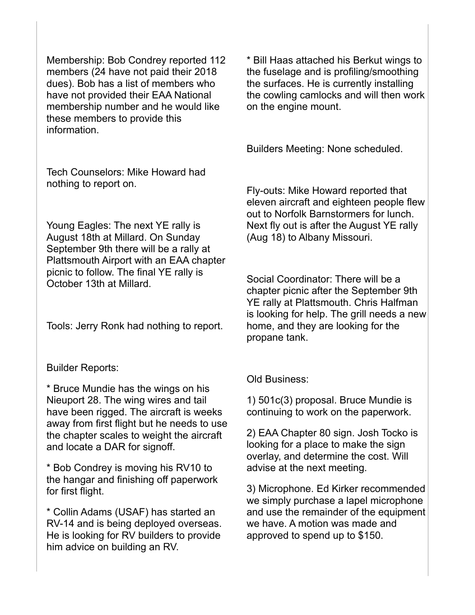Membership: Bob Condrey reported 112 members (24 have not paid their 2018 dues). Bob has a list of members who have not provided their EAA National membership number and he would like these members to provide this information.

Tech Counselors: Mike Howard had nothing to report on.

Young Eagles: The next YE rally is August 18th at Millard. On Sunday September 9th there will be a rally at Plattsmouth Airport with an EAA chapter picnic to follow. The final YE rally is October 13th at Millard.

Tools: Jerry Ronk had nothing to report.

Builder Reports:

\* Bruce Mundie has the wings on his Nieuport 28. The wing wires and tail have been rigged. The aircraft is weeks away from first flight but he needs to use the chapter scales to weight the aircraft and locate a DAR for signoff.

\* Bob Condrey is moving his RV10 to the hangar and finishing off paperwork for first flight.

\* Collin Adams (USAF) has started an RV-14 and is being deployed overseas. He is looking for RV builders to provide him advice on building an RV.

\* Bill Haas attached his Berkut wings to the fuselage and is profiling/smoothing the surfaces. He is currently installing the cowling camlocks and will then work on the engine mount.

Builders Meeting: None scheduled.

Fly-outs: Mike Howard reported that eleven aircraft and eighteen people flew out to Norfolk Barnstormers for lunch. Next fly out is after the August YE rally (Aug 18) to Albany Missouri.

Social Coordinator: There will be a chapter picnic after the September 9th YE rally at Plattsmouth. Chris Halfman is looking for help. The grill needs a new home, and they are looking for the propane tank.

Old Business:

1) 501c(3) proposal. Bruce Mundie is continuing to work on the paperwork.

2) EAA Chapter 80 sign. Josh Tocko is looking for a place to make the sign overlay, and determine the cost. Will advise at the next meeting.

3) Microphone. Ed Kirker recommended we simply purchase a lapel microphone and use the remainder of the equipment we have. A motion was made and approved to spend up to \$150.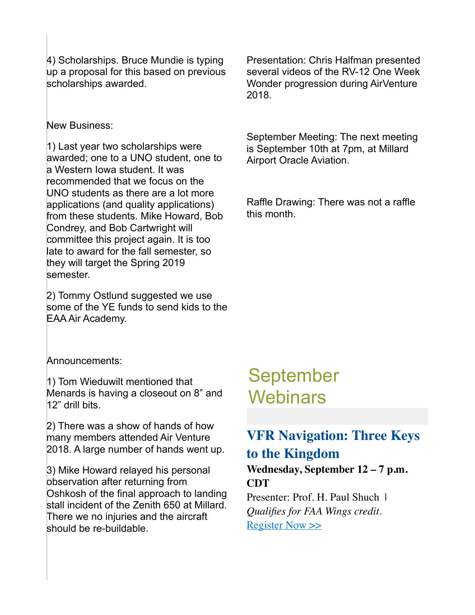4) Scholarships. Bruce Mundie is typing up a proposal for this based on previous scholarships awarded.

#### New Business:

1) Last year two scholarships were awarded; one to a UNO student, one to a Western Iowa student. It was recommended that we focus on the UNO students as there are a lot more applications (and quality applications) from these students. Mike Howard, Bob Condrey, and Bob Cartwright will committee this project again. It is too late to award for the fall semester, so they will target the Spring 2019 semester.

2) Tommy Ostlund suggested we use some of the YE funds to send kids to the EAA Air Academy.

Announcements:

1) Tom Wieduwilt mentioned that Menards is having a closeout on 8" and 12" drill bits.

2) There was a show of hands of how many members attended Air Venture 2018. A large number of hands went up.

3) Mike Howard relayed his personal observation after returning from Oshkosh of the final approach to landing stall incident of the Zenith 650 at Millard. There we no injuries and the aircraft should be re-buildable.

Presentation: Chris Halfman presented several videos of the RV-12 One Week Wonder progression during AirVenture 2018.

September Meeting: The next meeting is September 10th at 7pm, at Millard Airport Oracle Aviation.

Raffle Drawing: There was not a raffle this month.

## September **Webinars**

#### **VFR Navigation: Three Keys to the Kingdom**

**Wednesday, September 12 – 7 p.m. CDT**

Presenter: Prof. H. Paul Shuch | *Qualifies for FAA Wings credit.* [Register Now >>](http://go.eaa.org/O050H1VU0301KSBc030OamE)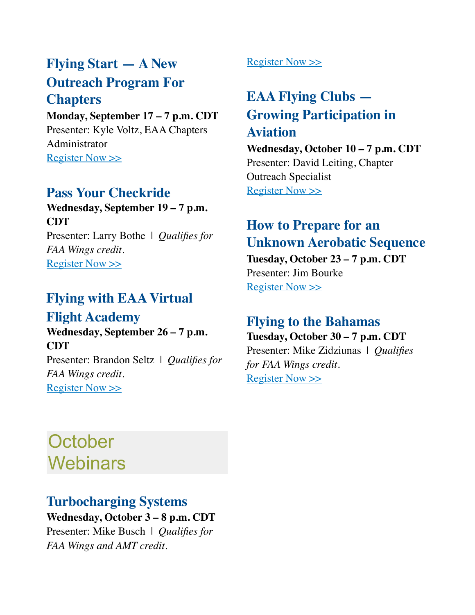## **Flying Start — A New Outreach Program For Chapters**

**Monday, September 17 – 7 p.m. CDT** Presenter: Kyle Voltz, EAA Chapters Administrator [Register Now >>](http://go.eaa.org/R00B1maEVO0030H0SdU54K1)

#### **Pass Your Checkride**

**Wednesday, September 19 – 7 p.m. CDT** Presenter: Larry Bothe | *Qualifies for FAA Wings credit.* Register Now  $\gg$ 

#### **Flying with EAA Virtual Flight Academy**

**Wednesday, September 26 – 7 p.m. CDT**

Presenter: Brandon Seltz | *Qualifies for FAA Wings credit.* [Register Now >>](http://go.eaa.org/dO0BHafK5V0Um00E16130S0)

[Register Now >>](http://go.eaa.org/jV7E0a3BS001m1HKUOg0500)

## **EAA Flying Clubs — Growing Participation in Aviation**

**Wednesday, October 10 – 7 p.m. CDT** Presenter: David Leiting, Chapter Outreach Specialist [Register Now >>](http://go.eaa.org/R00B1maEVO0030H0ShU58K1)

### **How to Prepare for an Unknown Aerobatic Sequence**

**Tuesday, October 23 – 7 p.m. CDT** Presenter: Jim Bourke Register Now  $\gg$ 

#### **Flying to the Bahamas Tuesday, October 30 – 7 p.m. CDT**

Presenter: Mike Zidziunas | *Qualifies for FAA Wings credit.* [Register Now >>](http://go.eaa.org/I0a0jSm0B1HaKO3V050EU01)

## **October Webinars**

#### **Turbocharging Systems**

**Wednesday, October 3 – 8 p.m. CDT** Presenter: Mike Busch | *Qualifies for FAA Wings and AMT credit.*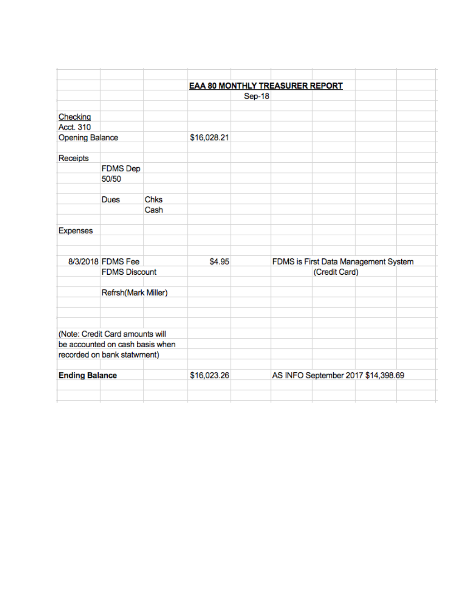|                        |                                 |             | <b>EAA 80 MONTHLY TREASURER REPORT</b> |        |                                                       |  |  |  |
|------------------------|---------------------------------|-------------|----------------------------------------|--------|-------------------------------------------------------|--|--|--|
|                        |                                 |             |                                        | Sep-18 |                                                       |  |  |  |
|                        |                                 |             |                                        |        |                                                       |  |  |  |
| Checking               |                                 |             |                                        |        |                                                       |  |  |  |
| Acct. 310              |                                 |             |                                        |        |                                                       |  |  |  |
| <b>Opening Balance</b> |                                 |             | \$16,028.21                            |        |                                                       |  |  |  |
|                        |                                 |             |                                        |        |                                                       |  |  |  |
| Receipts               |                                 |             |                                        |        |                                                       |  |  |  |
|                        | <b>FDMS</b> Dep                 |             |                                        |        |                                                       |  |  |  |
|                        | 50/50                           |             |                                        |        |                                                       |  |  |  |
|                        |                                 |             |                                        |        |                                                       |  |  |  |
|                        | <b>Dues</b>                     | Chks        |                                        |        |                                                       |  |  |  |
|                        |                                 | Cash        |                                        |        |                                                       |  |  |  |
|                        |                                 |             |                                        |        |                                                       |  |  |  |
| <b>Expenses</b>        |                                 |             |                                        |        |                                                       |  |  |  |
|                        |                                 |             |                                        |        |                                                       |  |  |  |
|                        | 8/3/2018 FDMS Fee               |             | \$4.95                                 |        |                                                       |  |  |  |
|                        | <b>FDMS Discount</b>            |             |                                        |        | FDMS is First Data Management System<br>(Credit Card) |  |  |  |
|                        |                                 |             |                                        |        |                                                       |  |  |  |
|                        | Refrsh(Mark Miller)             |             |                                        |        |                                                       |  |  |  |
|                        |                                 |             |                                        |        |                                                       |  |  |  |
|                        |                                 |             |                                        |        |                                                       |  |  |  |
|                        |                                 |             |                                        |        |                                                       |  |  |  |
|                        | (Note: Credit Card amounts will |             |                                        |        |                                                       |  |  |  |
|                        | be accounted on cash basis when |             |                                        |        |                                                       |  |  |  |
|                        | recorded on bank statwment)     |             |                                        |        |                                                       |  |  |  |
|                        |                                 |             |                                        |        |                                                       |  |  |  |
| <b>Ending Balance</b>  |                                 | \$16,023.26 |                                        |        | AS INFO September 2017 \$14,398.69                    |  |  |  |
|                        |                                 |             |                                        |        |                                                       |  |  |  |
|                        |                                 |             |                                        |        |                                                       |  |  |  |